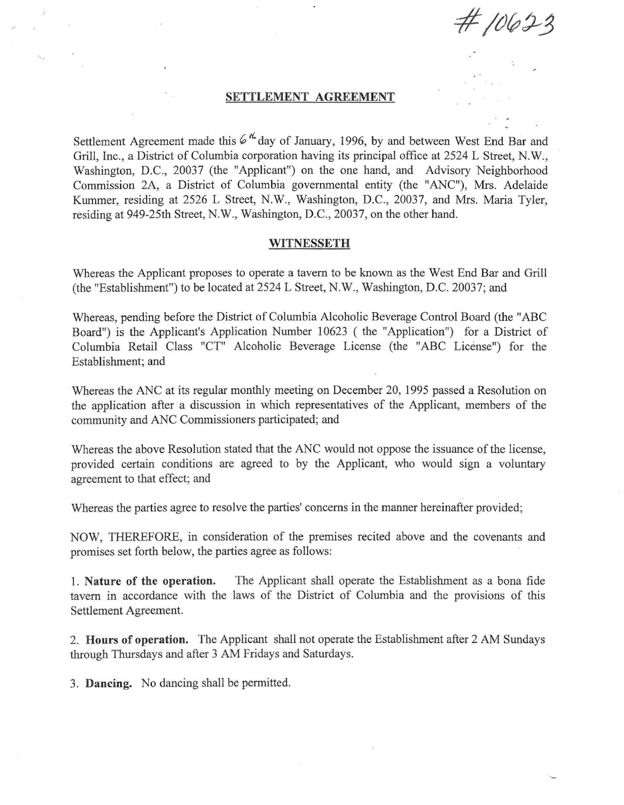$#10623$ 

## **SETTLEMENT AGREEMENT**

Settlement Agreement made this  $6\frac{h}{4}$  day of January, 1996, by and between West End Bar and Grill, Inc., a District of Columbia corporation having its principal office at 2524 L Street, N. W., Washington, D.C., 20037 (the "Applicant") on the one hand, and Advisory Neighborhood Commission 2A, a District of Columbia governmental entity (the "ANC"), Mrs. Adelaide Kummer, residing at 2526 L Street, N.W., Washington, D.C., 20037, and Mrs. Maria Tyler, residing at 949-25th Street, N.W., Washington, D.C., 20037, on the other hand.

## **WITNESSETH**

Whereas the Applicant proposes to operate a tavern to be known as the West End Bar and Grill (the "Establishment") to be located at 2524 L Street, N.W., Washington, D.C. 20037; and

Whereas, pending before the District of Columbia Alcoholic Beverage Control Board (the "ABC Board") is the Applicant's Application Number 10623 ( the "Application") for a District of Columbia Retail Class "CT" Alcoholic Beverage License (the "ABC License") for the Establishment; and

Whereas the ANC at its regular monthly meeting on December 20, 1995 passed a Resolution on the application after a discussion in which representatives of the Applicant, members of the community and ANC Commissioners participated; and

Whereas the above Resolution stated that the ANC would not oppose the issuance of the license, provided certain conditions are agreed to by the Applicant, who would sign a voluntary agreement to that effect; and

Whereas the parties agree to resolve the parties' concerns in the manner hereinafter provided;

NOW, THEREFORE, in consideration of the premises recited above and the covenants and promises set forth below, the parties agree as follows:

I. **Nature of the operation.**  tavern in accordance with the laws of the District of Columbia and the provisions of this Settlement Agreement. The Applicant shall operate the Establishment as a bona fide

2. **Hours of operation.** The Applicant shall not operate the Establishment after 2 AM Sundays through Thursdays and after 3 AM Fridays and Saturdays.

3. **Dancing.** No dancing shall be permitted.

B.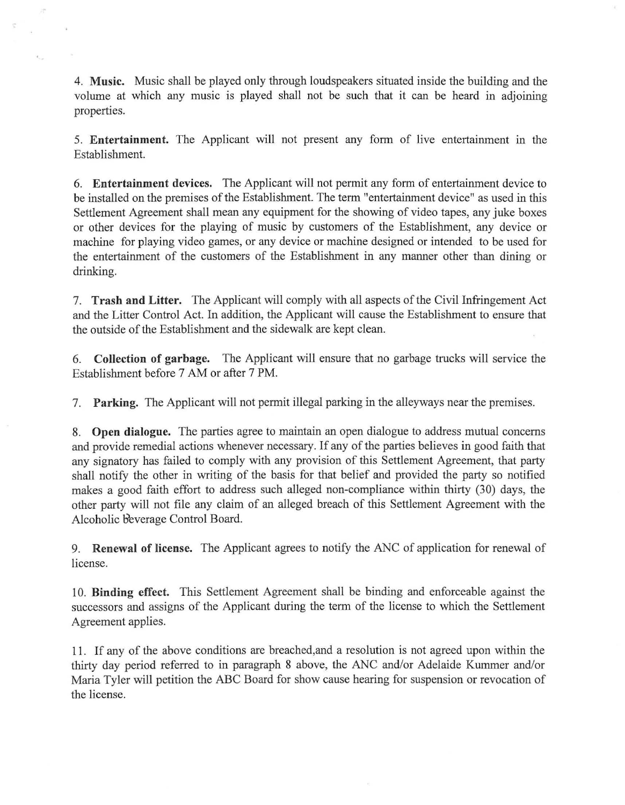4. **Music.** Music shall be played only through loudspeakers situated inside the building and the volume at which any music is played shall not be such that it can be heard in adjoining properties.

计

 $\epsilon_{\rm{max}}$ 

5. **Entertainment.** The Applicant will not present any form of live entertainment in the Establishment.

6. **Entertainment devices.** The Applicant will not permit any form of entertainment device to be installed on the premises of the Establishment. The term "entertainment device" as used in this Settlement Agreement shall mean any equipment for the showing of video tapes, any juke boxes or other devices for the playing of music by customers of the Establishment, any device or machine for playing video games, or any device or machine designed or intended to be used for the entertainment of the customers of the Establishment in any manner other than dining or drinking.

7. **Trash and Litter.** The Applicant will comply with all aspects of the Civil Infringement Act and the Litter Control Act. In addition, the Applicant will cause the Establishment to ensure that the outside of the Establishment and the sidewalk are kept clean.

6. **Collection of garbage.** The Applicant will ensure that no garbage trucks will service the Establishment before 7 AM or after 7 PM.

7. **Parking.** The Applicant will not permit illegal parking in the alleyways near the premises.

8. **Open dialogue.** The parties agree to maintain an open dialogue to address mutual concerns and provide remedial actions whenever necessary. If any of the parties believes in good faith that any signatory has failed to comply with any provision of this Settlement Agreement, that party shall notify the other in writing of the basis for that belief and provided the party so notified makes a good faith effort to address such alleged non-compliance within thirty (30) days, the other party will not file any claim of an alleged breach of this Settlement Agreement with the Alcoholic Beverage Control Board.

9. **Renewal of license.** The Applicant agrees to notify the ANC of application for renewal of license.

10. **Binding effect.** This Settlement Agreement shall be binding and enforceable against the successors and assigns of the Applicant during the term of the license to which the Settlement Agreement applies.

11. If any of the above conditions are breached,and a resolution is not agreed upon within the thirty day period referred to in paragraph 8 above, the ANC and/or Adelaide Kummer and/or Maria Tyler will petition the ABC Board for show cause hearing for suspension or revocation of the license.